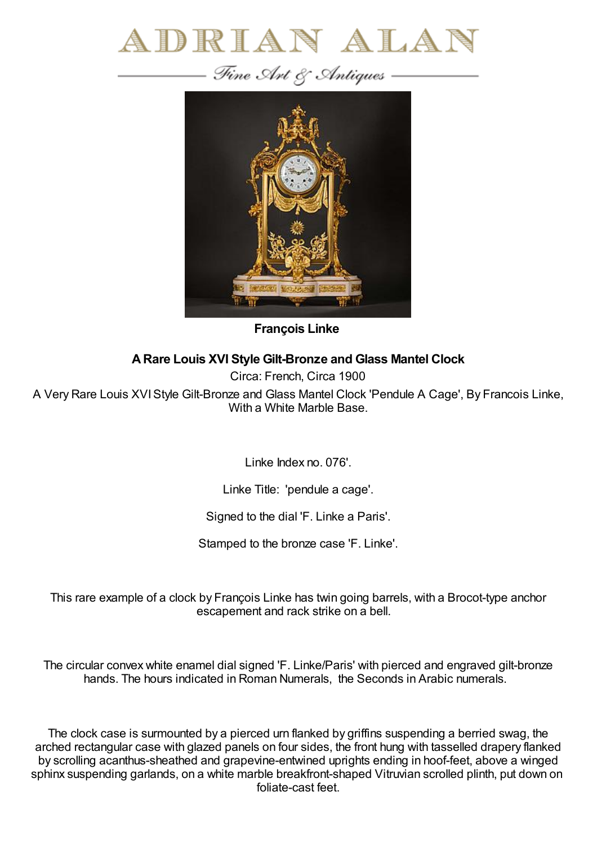



**François Linke**

## **ARare Louis XVI Style Gilt-Bronze and Glass Mantel Clock**

Circa: French, Circa 1900

A Very Rare Louis XVIStyle Gilt-Bronze and Glass Mantel Clock 'Pendule A Cage', By Francois Linke, With a White Marble Base.

Linke Index no. 076'.

Linke Title: 'pendule a cage'.

Signed to the dial 'F. Linke a Paris'.

Stamped to the bronze case 'F. Linke'.

This rare example of a clock by François Linke has twin going barrels, with a Brocot-type anchor escapement and rack strike on a bell.

The circular convex white enamel dial signed 'F. Linke/Paris' with pierced and engraved gilt-bronze hands. The hours indicated in Roman Numerals, the Seconds in Arabic numerals.

The clock case is surmounted by a pierced urn flanked by griffins suspending a berried swag, the arched rectangular case with glazed panels on four sides, the front hung with tasselled drapery flanked by scrolling acanthus-sheathed and grapevine-entwined uprights ending in hoof-feet, above a winged sphinx suspending garlands, on a white marble breakfront-shaped Vitruvian scrolled plinth, put down on foliate-cast feet.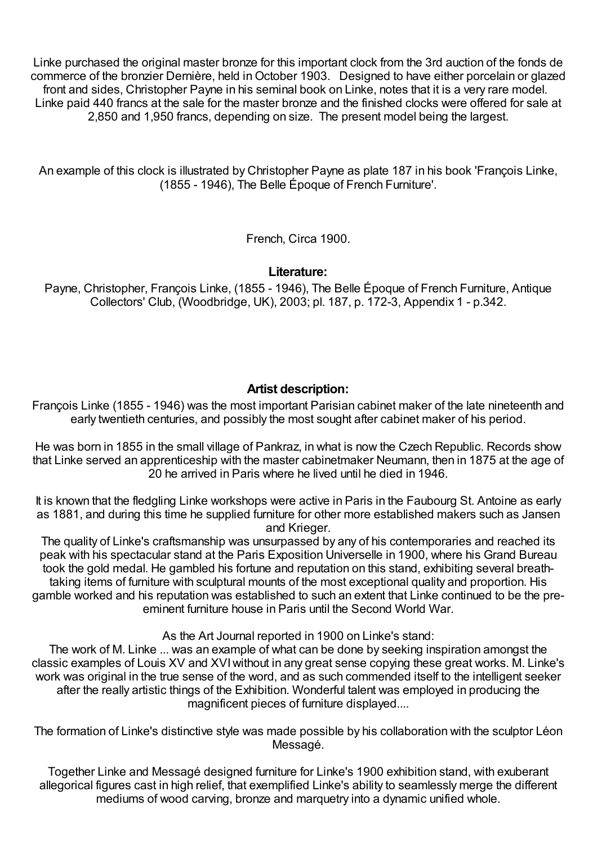Linke purchased the original master bronze for this important clock from the 3rd auction of the fonds de commerce of the bronzier Dernière, held inOctober 1903. Designed to have either porcelain or glazed front and sides, Christopher Payne in his seminal book on Linke, notes that it is a very rare model. Linke paid 440 francs at the sale for the master bronze and the finished clocks were offered for sale at 2,850 and 1,950 francs, depending on size. The present model being the largest.

An example of this clock is illustrated by Christopher Payne as plate 187 in his book 'François Linke, (1855 - 1946), The Belle Époque of French Furniture'.

French, Circa 1900.

## **Literature:**

Payne, Christopher, François Linke, (1855 - 1946), The Belle Époque of French Furniture, Antique Collectors' Club, (Woodbridge, UK), 2003; pl. 187, p. 172-3, Appendix 1 - p.342.

## **Artist description:**

François Linke (1855 - 1946) was the most important Parisian cabinet maker of the late nineteenth and early twentieth centuries, and possibly the most sought after cabinet maker of his period.

He was born in 1855 in the small village of Pankraz, in what is now the Czech Republic. Records show that Linke served an apprenticeship with the master cabinetmaker Neumann, then in 1875 at the age of 20 he arrived in Paris where he lived until he died in 1946.

It is known that the fledgling Linke workshops were active in Paris in the Faubourg St. Antoine as early as 1881, and during this time he supplied furniture for other more established makers such as Jansen and Krieger.

The quality of Linke's craftsmanship was unsurpassed by any of his contemporaries and reached its peak with his spectacular stand at the Paris Exposition Universelle in 1900, where his Grand Bureau took the gold medal. He gambled his fortune and reputation on this stand, exhibiting several breathtaking items of furniture with sculptural mounts of the most exceptional quality and proportion. His gamble worked and his reputation was established to such an extent that Linke continued to be the preeminent furniture house in Paris until the Second World War.

As the Art Journal reported in 1900 on Linke's stand:

The work of M. Linke ... was an example of what can be done by seeking inspiration amongst the classic examples of Louis XV and XVIwithout in any great sense copying these great works. M. Linke's work was original in the true sense of the word, and as such commended itself to the intelligent seeker after the really artistic things of the Exhibition. Wonderful talent was employed in producing the magnificent pieces of furniture displayed....

The formation of Linke's distinctive style was made possible by his collaboration with the sculptor Léon Messagé.

Together Linke and Messagé designed furniture for Linke's 1900 exhibition stand, with exuberant allegorical figures cast in high relief, that exemplified Linke's ability to seamlessly merge the different mediums of wood carving, bronze and marquetry into a dynamic unified whole.